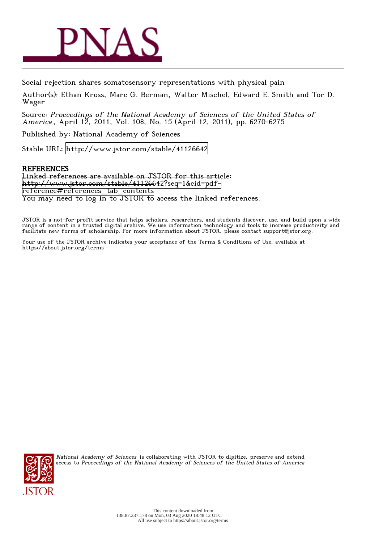

Social rejection shares somatosensory representations with physical pain

Author(s): Ethan Kross, Marc G. Berman, Walter Mischel, Edward E. Smith and Tor D. Wager

Source: Proceedings of the National Academy of Sciences of the United States of America , April 12, 2011, Vol. 108, No. 15 (April 12, 2011), pp. 6270-6275

Published by: National Academy of Sciences

Stable URL:<http://www.jstor.com/stable/41126642>

## **REFERENCES**

Linked references are available on JSTOR for this article: [http://www.jstor.com/stable/41126642?seq=1&cid=pdf](http://www.jstor.com/stable/41126642?seq=1&cid=pdf-reference#references_tab_contents)[reference#references\\_tab\\_contents](http://www.jstor.com/stable/41126642?seq=1&cid=pdf-reference#references_tab_contents) You may need to log in to JSTOR to access the linked references.

JSTOR is a not-for-profit service that helps scholars, researchers, and students discover, use, and build upon a wide range of content in a trusted digital archive. We use information technology and tools to increase productivity and facilitate new forms of scholarship. For more information about JSTOR, please contact support@jstor.org.

Your use of the JSTOR archive indicates your acceptance of the Terms & Conditions of Use, available at https://about.jstor.org/terms



National Academy of Sciences is collaborating with JSTOR to digitize, preserve and extend access to Proceedings of the National Academy of Sciences of the United States of America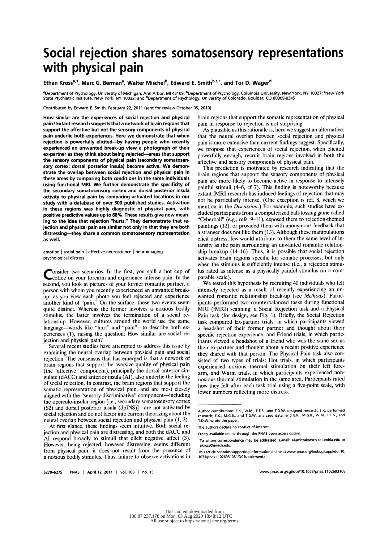# Social rejection shares somatosensory representations with physical pain

Ethan Kross<sup>a, 1</sup>, Marc G. Berman<sup>a</sup>, Walter Mischel<sup>b</sup>, Edward E. Smith<sup>b,c, 1</sup>, and Tor D. Wager<sup>d</sup>

"Department of Psychology, University of Michigan, Ann Arbor, Mi 48109; "Department of Psychology, Columbia University, New York, NY 10027; "New York<br>State Psychiatric Institute, New York, NY 10032; and <sup>d</sup>Department of Ps

Contributed by Edward E. Smith, February 22, 2011 (sent for review October 05, 2010)

 How similar are the experiences of social rejection and physical pain? Extant research suggests that a network of brain regions that support the affective but not the sensory components of physical pain underlie both experiences. Here we demonstrate that when rejection is powerfully elicited-by having people who recently experienced an unwanted break-up view a photograph of their ex-partner as they think about being rejected-areas that support the sensory components of physical pain (secondary somatosen sory cortex; dorsal posterior insula) become active. We demon strate the overlap between social rejection and physical pain in these areas by comparing both conditions in the same individuals using functional MRI. We further demonstrate the specificity of the secondary somatosensory cortex and dorsal posterior insula activity to physical pain by comparing activated locations in our study with a database of over 500 published studies. Activation in these regions was highly diagnostic of physical pain, with positive predictive values up to 88%. These results give new mean ing to the idea that rejection "hurts." They demonstrate that re jection and physical pain are similar not only in that they are both distressing-they share a common somatosensory representation as well.

emotion | social pain | affective neuroscience | neuroimaging | psychological distress

onsider two scenarios. In the first, you spill a hot cup of Consider two scenarios. In the most year of<br>Cooffee on your forearm and experience intense pain. In the second, you look at pictures of your former romantic partner, a person with whom you recently experienced an unwanted break up; as you view each photo you feel rejected and experience another kind of "pain." On the surface, these two events seem quite distinct. Whereas the former involves a noxious bodily stimulus, the latter involves the termination of a social re lationship. However, cultures around the world use the same language—words like "hurt" and "pain"—to describe both ex periences (1), raising the question: How similar are social re jection and physical pain?

 Several recent studies have attempted to address this issue by examining the neural overlap between physical pain and social rejection. The consensus that has emerged is that a network of brain regions that support the aversive quality of physical pain (the "affective" component), principally the dorsal anterior cin gulate (dACC) and anterior insula (AI), also underlie the feeling of social rejection. In contrast, the brain regions that support the somatic representation of physical pain, and are most closely aligned with the "sensory-discriminative" component-including the operculo-insular region [i.e., secondary somatosensory cortex (S2) and dorsal posterior insula (dpINS)—are not activated by social rejection and do not factor into current theorizing about the neural overlap between social rejection and physical pain (1, 2).

 At first glance, these findings seem intuitive. Both social re jection and physical pain are distressing, and both the dACC and AI respond broadly to stimuli that elicit negative affect (3). However, being rejected, however distressing, seems different from physical pain; it does not result from the presence of a noxious bodily stimulus. Thus, failure to observe activations in  brain regions that support the somatic representation of physical pain in response to rejection is not surprising.

 As plausible as this rationale is, here we suggest an alternative: that the neural overlap between social rejection and physical pain is more extensive than current findings suggest. Specifically, we propose that experiences of social rejection, when elicited powerfully enough, recruit brain regions involved in both the affective and sensory components of physical pain.

 This prediction is motivated by research indicating that the brain regions that support the sensory components of physical pain are more likely to become active in response to intensely painful stimuli (4-6, cf 7). This finding is noteworthy because extant fMRI research has induced feelings of rejection that may not be particularly intense. (One exception is ref. 8, which we mention in the Discussion.) For example, such studies have ex cluded participants from a computerized ball-tossing game called "Cyberball" (e.g., refs. 9-11), exposed them to rejection-themed paintings (12), or provided them with anonymous feedback that a stranger does not like them (13). Although these manipulations elicit distress, few would attribute to them the same level of in tensity as the pain surrounding an unwanted romantic relation ship breakup (14-16). Thus, it is possible that social rejection activates brain regions specific for somatic processes, but only when the stimulus is sufficiently intense (i.e., a rejection stimu lus rated as intense as a physically painful stimulus on a com parable scale).

 We tested this hypothesis by recruiting 40 individuals who felt intensely rejected as a result of recently experiencing an un wanted romantic relationship break-up (see Methods). Partic ipants performed two counterbalanced tasks during functional MRI (fMRI) scanning: a Social Rejection task and a Physical Pain task (for design, see Fig. 1). Briefly, the Social Rejection task compared Ex-partner trials, in which participants viewed a headshot of their former partner and thought about their specific rejection experience, and Friend trials, in which partic ipants viewed a headshot of a friend who was the same sex as their ex-partner and thought about a recent positive experience they shared with that person. The Physical Pain task also con sisted of two types of trials: Hot trials, in which participants experienced noxious thermal stimulation on their left fore arm, and Warm trials, in which participants experienced non noxious thermal stimulation in the same area. Participants rated how they felt after each task trial using a five-point scale, with lower numbers reflecting more distress.

6270-6275 | PNAS | April 12, 2011 | vol.108 | no. 15 www.pnas.org/cgi/doi/10.1073/pnas.1102693108

Author contributions: E.K., W.M., E.E.S., and T.D.W. designed research; E.K. performed research; E.K., M.G.B., and T.D.W. analyzed data; and E.K., M.G.B., W.M., E.E.S., and T.D.W. wrote the paper.

The authors declare no conflict of interest.

Freely available online through the PNAS open access option.

<sup>&</sup>lt;sup>1</sup>To whom correspondence may be addressed. E-mail: eesmith@psych.columbia.edu or ekross@umich.edu.

This article contains supporting information online at www.pnas.org/lookup/suppl/doi:10. 1073/pnas.1102693108/-/DCSupplemental.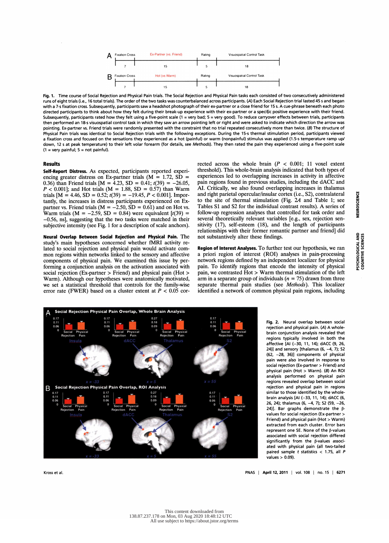

 Fig. 1. Time course of Social Rejection and Physical Pain trials. The Social Rejection and Physical Pain tasks each consisted of two consecutively administered runs of eight trials (i.e., 16 total trials). The order of the two tasks was counterbalanced across participants. (A) Each Social Rejection trial lasted 45 s and began with a 7-s fixation cross. Subsequently, participants saw a headshot photograph of their ex-partner or a close friend for 15 s. A cue-phrase beneath each photo directed participants to think about how they felt during their break-up experience with their ex-partner or a specific positive experience with their friend. Subsequently, participants rated how they felt using a five-point scale (1 = very bad; 5 = very good). To reduce carryover effects between trials, participants then performed an 18-s visuospatial control task in which they saw an arrow pointing left or right and were asked to indicate which direction the arrow was pointing. Ex-partner vs. Friend trials were randomly presented with the constraint that no trial repeated consecutively more than twice. (B) The structure of Physical Pain trials was identical to Social Rejection trials with the following exceptions. During the 15-s thermal stimulation period, participants viewed a fixation cross and focused on the sensations they experienced as a hot (painful) or warm (nonpainful) stimulus was applied (1.5-s temperature ramp up/ down, 12 s at peak temperature) to their left volar forearm (for details, see Methods). They then rated the pain they experienced using a five-point scale  $(1 = very paint; 5 = not paint).$ 

### Results

 Self-Report Distress. As expected, participants reported experi encing greater distress on Ex-partner trials ( $M = 1.72$ ,  $SD =$ 0.36) than Friend trials  $[M = 4.23, SD = 0.41; t(39) = -26.05,$  $P < 0.001$ ]; and Hot trials (M = 1.88, SD = 0.57) than Warm trials  $[M = 4.46, SD = 0.52; t(39) = -19.45, P < 0.001]$ . Impor tantly, the increases in distress participants experienced on Ex partner vs. Friend trials  $(M = -2.50, SD = 0.61)$  and on Hot vs. Warm trials (M = -2.59, SD = 0.84) were equivalent  $[t(39)$  = -0.56, ns], suggesting that the two tasks were matched in their subjective intensity (see Fig. 1 for a description of scale anchors).

 Neural Overlap Between Social Rejection and Physical Pain. The study's main hypotheses concerned whether fMRI activity re lated to social rejection and physical pain would activate com mon regions within networks linked to the sensory and affective components of physical pain. We examined this issue by per forming a conjunction analysis on the activation associated with social rejection (Ex-partner > Friend) and physical pain (Hot > Warm). Although our hypotheses were anatomically motivated, we set a statistical threshold that controls for the family-wise error rate (FWER) based on a cluster extent at  $P < 0.05$  corrected across the whole brain  $(P < 0.001; 11$  voxel extent threshold). This whole-brain analysis indicated that both types of experiences led to overlapping increases in activity in affective pain regions found in previous studies, including the dACC and AI. Critically, we also found overlapping increases in thalamus and right parietal opercular/insular cortex (i.e., S2), contralateral to the site of thermal stimulation (Fig. 24 and Table 1; see Tables SI and S2 for the individual contrast results). A series of follow-up regression analyses that controlled for task order and several theoretically relevant variables [e.g., sex, rejection sen sitivity (17), self-esteem (18), and the length of participants relationships with their former romantic partner and friend] did not substantively alter these findings.

 Region of Interest Analyses. To further test our hypothesis, we ran a priori region of interest (ROI) analyses in pain-processing network regions defined by an independent localizer for physical pain. To identify regions that encode the intensity of physical pain, we contrasted Hot > Warm thermal stimulation of the left arm in a separate group of individuals ( $n = 75$ ) drawn from three separate thermal pain studies (see Methods). This localizer identified a network of common physical pain regions, including



 Fig. 2. Neural overlap between social rejection and physical pain. (A) A whole brain conjunction analysis revealed that regions typically involved in both the affective [AI (-30, 11, 14); dACC (9, 26, 24)] and sensory [thalamus (6,  $-4$ , 7); S2 (62, -28, 36)] components of physical pain were also involved in response to social rejection (Ex-partner > Friend) and physical pain (Hot > Warm). (B) An ROI analysis performed on physical pain regions revealed overlap between social rejection and physical pain in regions similar to those identified by the whole brain analysis [AI (-33, 11, 14); dACC (6, 26, 24); thalamus (6, -4, 7); S2 (59, -26, 24)]. Bar graphs demonstrate the  $\beta$  values for social rejection (Ex-partner > Friend) and physical pain (Hot > Warm) extracted from each cluster. Error bars represent one SE. None of the ß-values associated with social rejection differed significantly from the  $\beta$ -values associ ated with physical pain (all two-tailed paired sample f statistics < 1.75, all Ρ values  $> 0.09$ ).

Krosset al. **PNAS | April 12, 2011 | vol. 108 | no. 15 | 6271** 

U<br>U<br>U<br>U

Z.

< £

용 등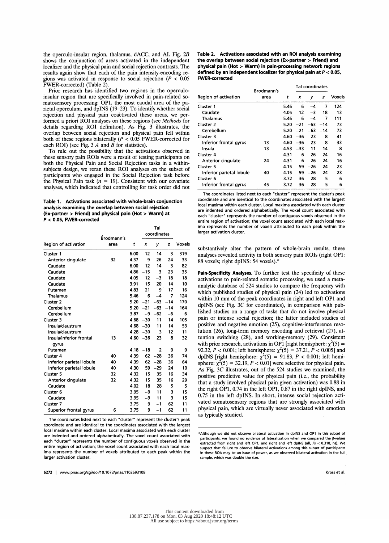the operculo-insular region, thalamus, dACC, and AI. Fig. 2B shows the conjunction of areas activated in the independent localizer and the physical pain and social rejection contrasts. The results again show that each of the pain intensity-encoding re gions was activated in response to social rejection ( $P < 0.05$ ) FWER-corrected) (Table 2).

 Prior research has identified two regions in the operculo insular region that are specifically involved in pain-related so matosensory processing: OP1, the most caudal area of the pa rietal operculum, and dpINS (19-23). To identify whether social rejection and physical pain coactivated these areas, we per formed a priori ROI analyses on these regions (see Methods for details regarding ROI definition). As Fig. 3 illustrates, the overlap between social rejection and physical pain fell within both of these regions bilaterally ( $P < 0.05$  FWER-corrected for each ROI) (see Fig. 3 A and B for statistics).

 To rule out the possibility that the activations observed in these sensory pain ROIs were a result of testing participants on both the Physical Pain and Social Rejection tasks in a within subjects design, we reran these ROI analyses on the subset of participants who engaged in the Social Rejection task before the Physical Pain task  $(n = 19)$ . Consistent with our covariate analyses, which indicated that controlling for task order did not

 Table 1. Activations associated with whole-brain conjunction analysis examining the overlap between social rejection (Ex-partner > Friend) and physical pain (Hot > Warm) at Ρ < 0.05, FWER-corrected

**Tal** 

|                                  |            |      | 1 a 1<br>coordinates |       |       |        |
|----------------------------------|------------|------|----------------------|-------|-------|--------|
|                                  | Brodmann's |      |                      |       |       |        |
| Region of activation             | area       | t    | x                    | y     | z     | Voxels |
| Cluster 1                        |            | 6.00 | 12                   | 14    | 3     | 319    |
| Anterior cingulate               | 32         | 4.37 | 9                    | 26    | 24    | 33     |
| Caudate                          |            | 6.00 | 12                   | 14    | 3     | 82     |
| Caudate                          |            | 4.86 | $-15$                | 3     | 23    | 35     |
| Caudate                          |            | 4.05 | 12                   | $-3$  | 18    | 18     |
| Caudate                          |            | 3.91 | 15                   | 20    | 14    | 10     |
| Putamen                          |            | 4.83 | 21                   | 9     | 17    | 16     |
| Thalamus                         |            | 5.46 | 6                    | $-4$  | 7     | 124    |
| Cluster <sub>2</sub>             |            | 5.20 | $-21$                | $-63$ | $-14$ | 170    |
| Cerebellum                       |            | 5.20 | $-21$                | $-63$ | $-14$ | 164    |
| Cerebellum                       |            | 3.87 | -9                   | $-62$ | $-6$  | 6      |
| Cluster 3                        |            | 4.68 | $-30$                | 11    | 14    | 105    |
| Insula/claustrum                 |            | 4.68 | $-30$                | 11    | 14    | 53     |
| Insula/claustrum                 |            | 4.28 | $-30$                | 3     | 12    | 11     |
| Insula/inferior frontal<br>gyrus | 13         | 4.60 | $-36$                | 23    | 8     | 32     |
| Putamen                          |            | 4.18 | $-18$                | 2     | 9     | 9      |
| Cluster 4                        | 40         | 4.39 | 62                   | $-28$ | 36    | 74     |
| Inferior parietal lobule         | 40         | 4.39 | 62                   | $-28$ | 36    | 64     |
| Inferior parietal lobule         | 40         | 4.30 | 59                   | $-29$ | 24    | 10     |
| Cluster 5                        | 32         | 4.32 | 15                   | 35    | 16    | 34     |
| Anterior cingulate               | 32         | 4.32 | 15                   | 35    | 16    | 29     |
| Caudate                          |            | 4.02 | 18                   | 28    | 5     | 5      |
| Cluster 6                        |            | 3.95 | -9                   | 11    | 3     | 15     |
| Caudate                          |            | 3.95 | -9                   | 11    | 3     | 15     |
| Cluster 7                        |            | 3.75 | 9                    | $-1$  | 62    | 11     |
| Superior frontal gyrus           | 6          | 3.75 | 9                    | $-1$  | 62    | 11     |

 The coordinates listed next to each "cluster" represent the cluster's peak coordinate and are identical to the coordinates associated with the largest local maxima within each cluster. Local maxima associated with each cluster are indented and ordered alphabetically. The voxel count associated with each "cluster" represents the number of contiguous voxels observed in the entire region of activation; the voxel count associated with each local max ima represents the number of voxels attributed to each peak within the larger activation cluster.

6272 | www.pnas.org/cgi/doi/10.1073/pnas.1102693108

 Table 2. Activations associated with an ROI analysis examining the overlap between social rejection (Ex-partner > Friend) and physical pain (Hot > Warm) in pain-processing network regions defined by an independent localizer for physical pain at  $P < 0.05$ , FWER-corrected

| Region of activation     | Brodmann's<br>area |      | Tal coordinates |       |       |        |
|--------------------------|--------------------|------|-----------------|-------|-------|--------|
|                          |                    | t    | x               | y     | z     | Voxels |
| Cluster 1                |                    | 5.46 | 6               | -4    | 7     | 124    |
| Caudate                  |                    | 4.05 | 12              | -3    | 18    | 13     |
| Thalamus                 |                    | 5.46 | 6               | $-4$  | 7     | 111    |
| Cluster <sub>2</sub>     |                    | 5.20 | $-21$           | $-63$ | $-14$ | 73     |
| Cerebellum               |                    | 5.20 | $-21$           | -63   | $-14$ | 73     |
| Cluster 3                |                    | 4.60 | $-36$           | 23    | 8     | 41     |
| Inferior frontal gyrus   | 13                 | 4.60 | $-36$           | 23    | 8     | 33     |
| Insula                   | 13                 | 4.53 | $-33$           | 11    | 14    | 8      |
| Cluster 4                |                    | 4.31 | 6               | 26    | 24    | 16     |
| Anterior cinqulate       | 24                 | 4.31 | 6               | 26    | 24    | 16     |
| Cluster 5                |                    | 4.15 | 59              | $-26$ | 24    | 23     |
| Inferior parietal lobule | 40                 | 4.15 | 59              | $-26$ | 24    | 23     |
| Cluster 6                |                    | 3.72 | 36              | 28    | 5     | 6      |
| Inferior frontal gyrus   | 45                 | 3.72 | 36              | 28    | 5     | 6      |

 The coordinates listed next to each "cluster" represent the cluster's peak coordinate and are identical to the coordinates associated with the largest local maxima within each cluster. Local maxima associated with each cluster are indented and ordered alphabetically. The voxel count associated with each "cluster" represents the number of contiguous voxels observed in the entire region of activation; the voxel count associated with each local max ima represents the number of voxels attributed to each peak within the larger activation cluster.

 substantively alter the pattern of whole-brain results, these analyses revealed activity in both sensory pain ROIs (right OP1: 88 voxels; right dpINS: 54 voxels).\*

Pain-Specificity Analyses. To further test the specificity of these activations to pain-related somatic processing, we used a meta analytic database of 524 studies to compare the frequency with which published studies of physical pain (24) led to activations within 10 mm of the peak coordinates in right and left OP1 and dpINS (see Fig. 3C for coordinates), in comparison with pub lished studies on a range of tasks that do not involve physical pain or intense social rejection; the latter included studies of positive and negative emotion (25), cognitive-interference reso lution (26), long-term memory encoding and retrieval (27), at tention switching (28), and working-memory (29). Consistent with prior research, activations in OP1 [right hemisphere:  $\chi^2(5)$  = 92.32,  $P < 0.001$ ; left hemisphere:  $\chi^2(5) = 37.21$ ,  $P < 0.005$ ] and dpINS [right hemisphere:  $\chi^2(5) = 91.83$ ,  $P < 0.001$ ; left hemisphere:  $\chi^2(5) = 32.19, P < 0.01$ ] were selective for physical pain. As Fig. 3C illustrates, out of the 524 studies we examined, the positive predictive value for physical pain (i.e., the probability that a study involved physical pain given activation) was 0.88 in the right OP1, 0.74 in the left OP1, 0.87 in the right dpINS, and 0.75 in the left dpINS. In short, intense social rejection acti vated somatosensory regions that are strongly associated with physical pain, which are virtually never associated with emotion as typically studied.

 <sup>♦</sup>Although we did not observe bilateral activation in dpINS and OP1 in this subset of participants, we found no evidence of lateralization when we compared the ß-values extracted from right and left OP1, and right and left dpINS (all, Fs < 0.318, ns). We suspect that failure to observe bilateral activations among this subset of participants in these ROIs may be an issue of power, as we observed bilateral activation in the full sample, which was double the size.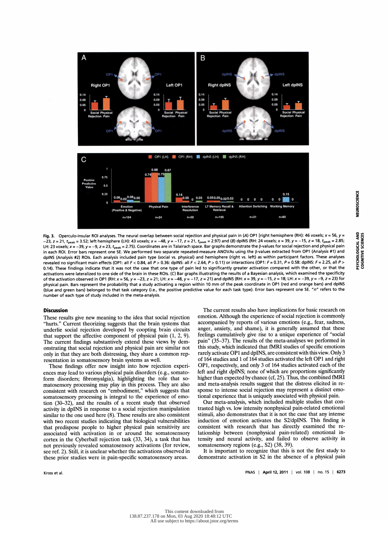

Fig. 3. Operculo-insular ROI analyses. The neural overlap between social rejection and physical pain in (A) OP1 [right hemisphere (RH): 46 voxels; x = 56, y = -25, z = 56, y = -25, z = 56, y = -25, z = 76, t<sub>peak</sub> = 2.85;  $-23$ ,  $Z = 21$ , τ<sub>peak</sub> = 3.52; left hemisphere (LH): 45 voxels; x = -46, y = -17, z = 21, t<sub>peak</sub> = 2.97) and (Β) upins (RH: 24 voxels, x = 59, y = -13, z = 10, t<sub>peak</sub> – 2.85, LH: 23 voxels; x = –39, y = –9, Z = 25, t<sub>peak</sub> = 2.75). Coordinates are in Talairach space. Bar graphs demonstrate the p-values for social rejection and physical pain in each ROI. Error bars represent one SE. We performed two separate repeated-measure ANOVAs using the ß-values extracted from OP1 (Analysis #1) and  $\alpha$  dpINS (Analysis #2) ROIs. Each analysis included pain type (social vs. physical) and hemisphere (right vs. left) as within participant factors. These analyses revealed no significant main effects (OP1 : all F < 0.84, all Ρ > 0.36: dpINS: all F < 2.64, Ρ > 0.1 1) or interactions (OP1 : F = 0.31, Ρ = 0.58: dpINS: F = 2.25, all Ρ > 0.14). These findings indicate that it was not the case that one type of pain led to significantly greater activation compared with the other, or that the activations were lateralized to one side of the brain in these ROIs. (C) Bar graphs illustrating the results of a Bayesian analysis, which examined the specificity of the activation observed in OP1 (RH: x = 56, y = -23, z = 21; LH: x = -48, y = -17, z = 21) and dpINS (RH: x = 39, y = -15, z = 18; LH: x = -39, y = -9, z = 23) for physical pain. Bars represent the probability that a study activating a region within 10 mm of the peak coordinate in OP1 (red and orange bars) and dpINS (blue and green bars) belonged to that task category (i.e., the positive predictive value for each task type). Error bars represent one SE. "n" refers to the number of each type of study included in the meta-analysis.

### **Discussion**

 These results give new meaning to the idea that social rejection "hurts." Current theorizing suggests that the brain systems that underlie social rejection developed by coopting brain circuits that support the affective component of physical pain (1, 2, 9). The current findings substantively extend these views by dem onstrating that social rejection and physical pain are similar not only in that they are both distressing, they share a common rep resentation in somatosensory brain systems as well.

 These findings offer new insight into how rejection experi ences may lead to various physical pain disorders (e.g., somato form disorders; fibromyalgia), highlighting the role that so matosensory processing may play in this process. They are also consistent with research on "embodiment," which suggests that somatosensory processing is integral to the experience of emo tion (30-32), and the results of a recent study that observed activity in dpINS in response to a social rejection manipulation similar to the one used here (8). These results are also consistent with two recent studies indicating that biological vulnerabilities that predispose people to higher physical pain sensitivity are associated with activation in or around the somatosensory cortex in the Cyberball rejection task (33, 34), a task that has not previously revealed somatosensory activations (for review, see ref. 2). Still, it is unclear whether the activations observed in these prior studies were in pain-specific somatosensory areas.

 The current results also have implications for basic research on emotion. Although the experience of social rejection is commonly accompanied by reports of various emotions (e.g., fear, sadness, anger, anxiety, and shame), it is generally assumed that these feelings cumulatively give rise to a unique experience of "social pain" (35-37). The results of the meta-analyses we performed in this study, which indicated that fMRI studies of specific emotions rarely activate OP1 and dpINS, are consistent with this view. Only 3 of 164 studies and 1 of 164 studies activated the left OP1 and right OP1, respectively, and only 3 of 164 studies activated each of the left and right dpINS; none of which are proportions significantly higher than expected by chance (cf, 25). Thus, the combined fMRI and meta-analysis results suggest that the distress elicited in re sponse to intense social rejection may represent a distinct emo tional experience that is uniquely associated with physical pain.

 Our meta-analysis, which included multiple studies that con trasted high vs. low intensity nonphysical pain-related emotional stimuli, also demonstrates that it is not the case that any intense induction of emotion activates the S2/dpINS. This finding is consistent with research that has directly examined the re lationship between (nonphysical pain-related) emotional in tensity and neural activity, and failed to observe activity in somatosensory regions (e.g., S2) (38, 39).

 It is important to recognize that this is not the first study to demonstrate activation in S2 in the absence of a physical pain  $\frac{2}{2}$ 

ă ă 들<br>토 ε

Krossetal. PNAS | April 12, 2011 | vol.108 | no. 15 | 6273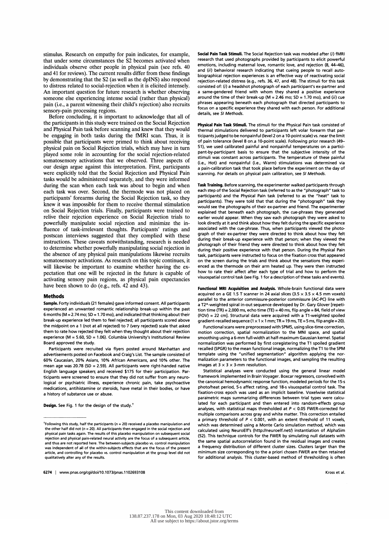stimulus. Research on empathy for pain indicates, for example, that under some circumstances the S2 becomes activated when individuals observe other people in physical pain (see refs. 40 and 41 for reviews). The current results differ from these findings by demonstrating that the S2 (as well as the dpINS) also respond to distress related to social-rejection when it is elicited intensely. An important question for future research is whether observing someone else experiencing intense social (rather than physical) pain (i.e., a parent witnessing their child's rejection) also recruits sensory-pain processing regions.

 Before concluding, it is important to acknowledge that all of the participants in this study were trained on the Social Rejection and Physical Pain task before scanning and knew that they would be engaging in both tasks during the fMRI scan. Thus, it is possible that participants were primed to think about receiving physical pain on Social Rejection trials, which may have in turn played some role in accounting for the social rejection-related somatosensory activations that we observed. Three aspects of our design argue against this interpretation. First, participants were explicitly told that the Social Rejection and Physical Pain tasks would be administered separately, and they were informed during the scan when each task was about to begin and when each task was over. Second, the thermode was not placed on participants' forearms during the Social Rejection task, so they knew it was impossible for them to receive thermal stimulation on Social Rejection trials. Finally, participants were trained to relive their rejection experience on Social Rejection trials to powerfully manipulate social rejection and minimize the in fluence of task-irrelevant thoughts. Participants' ratings and postscan interviews suggested that they complied with these instructions. These caveats notwithstanding, research is needed to determine whether powerfully manipulating social rejection in the absence of any physical pain manipulations likewise recruits somatosensory activations. As research on this topic continues, it will likewise be important to examine whether having the ex pectation that one will be rejected in the future is capable of activating sensory pain regions, as physical pain expectancies have been shown to do (e.g., refs. 42 and 43).

#### Methods

 Sample. Forty individuals (21 females) gave informed consent. All participants experienced an unwanted romantic relationship break-up within the past 6 months ( $M = 2.74$  mo;  $SD = 1.70$  mo), and indicated that thinking about their break-up experience led them to feel rejected; all participants scored above the midpoint on a 1 (not at all rejected) to 7 (very rejected) scale that asked them to rate how rejected they felt when they thought about their rejection experience (M = 5.60, SD = 1.06). Columbia University's Institutional Review Board approved the study.

 Participants were recruited via flyers posted around Manhattan and advertisements posted on Facebook and Craig's List. The sample consisted of 60% Caucasian, 20% Asians, 10% African Americans, and 10% other. The mean age was 20.78 (SD = 2.59). All participants were right-handed native English language speakers and received \$175 for their participation. Par ticipants were screened to ensure that they did not suffer from any neuro logical or psychiatric illness, experience chronic pain, take psychoactive medications, antihistamine or steroids, have metal in their bodies, or have a history of substance use or abuse.

Design. See Fig. 1 for the design of the study.<sup>†</sup>

Social Pain Task Stimuli. The Social Rejection task was modeled after (i) fMRI research that used photographs provided by participants to elicit powerful emotions, including maternal love, romantic love, and rejection (8, 44-46), and (ii) behavioral research indicating that cueing people to recall auto biographical rejection experiences is an effective way of reactivating social rejection-related distress (e.g., refs. 36, 47, and 48). The stimuli for this task consisted of: (i) a headshot photograph of each participant's ex-partner and a same-gendered friend with whom they shared a positive experience around the time of their break-up (M = 2.46 mo; SD = 1.70 mo), and (ii) cue phrases appearing beneath each photograph that directed participants to focus on a specific experience they shared with each person. For additional details, see SI Methods.

Physical Pain Task Stimuli. The stimuli for the Physical Pain task consisted of thermal stimulations delivered to participants left volar forearm that par ticipants judged to be nonpainful (level 2 on a 10-point scale) vs. near the limit of pain tolerance (level 8 on .a 10-point scale). Following prior research (49-51), we used calibrated painful and nonpainful temperatures on a partici pant-by-participant basis to ensure that the subjective intensity of the stimuli was constant across participants. The temperature of these painful (i.e., Hot) and nonpainful (i.e., Warm) stimulations was determined via a pain-calibration task that took place before the experiment on the day of scanning. For details on physical pain calibration, see SI Methods.

 Task Training. Before scanning, the experimenter walked participants through each step of the Social Rejection task (referred to as the "photograph" task to participants) and the Physical Pain task (referred to as the "heat" task to participants). They were told that that during the "photograph" task they would see the photographs of their ex-partner and friend. The experimenter explained that beneath each photograph, the cue-phrases they generated earlier would appear. When they saw each photograph they were asked to look directly at it and think about how they felt during the specific experience associated with the cue-phrase. Thus, when participants viewed the photo graph of their ex-partner they were directed to think about how they felt during their break-up experience with that person; when they viewed the photograph of their friend they were directed to think about how they felt during their positive experience with that person. During the Physical Pain task, participants were instructed to focus on the fixation cross that appeared on the screen during the trials and think about the sensations they experi enced as the thermode on their arm heated up. They were then instructed how to rate their affect after each type of trial and how to perform the visuospatial control task (see Fig. 1 for a description of these tasks and events).

 Functional MRI Acquisition and Analysis. Whole-brain functional data were acquired on a GE 1.5 T scanner in 24 axial slices  $(3.5 \times 3.5 \times 4.5 \text{ mm}$  voxels) parallel to the anterior commissure-posterior commissure (AC-PC) line with a T2\*-weighted spiral in-out sequence developed by Dr. Gary Glover [repeti tion time  $(TR) = 2,000$  ms, echo time  $(TE) = 40$  ms, flip angle = 84, field of view (FOV) = 22 cm]. Structural data were acquired with a T1 -weighted spoiled gradient-recalled sequence (1  $\times$  1  $\times$  1 mm; TR = 19 ms, TE = 5 ms, flip angle = 20).

 Functional scans were preprocessed with SPM5, using slice-time correction, motion correction, spatial normalization to the MNI space, and spatial smoothing using a 6-mm full-width at half-maximum Gaussian kernel. Spatial normalization was performed by first coregistering the T1 spoiled gradient recalled (SPGR) to the mean functional image, normalizing the T1 to the SPM template using the "unified segmentation" algorithm applying the nor malization parameters to the functional images, and sampling the resulting images at  $3 \times 3 \times 3$ -mm resolution.

 Statistical analyses were conducted using the general linear model framework implemented in Brain Voyager. Boxcar regressors, convolved with the canonical hemodynamic response function, modeled periods for the 15-s photo/heat period, 5-s affect rating, and 18-s visuospatial control task. The fixation-cross epoch was used as an implicit baseline. Voxelwise statistical parametric maps summarizing differences between trial types were calcu lated for each participant and then entered into random-effects group analyses, with statistical maps thresholded at Ρ < 0.05 FWER-corrected for multiple comparisons across gray and white matter. This correction entailed a primary threshold of Ρ < 0.001, with an extent threshold of 11 voxels, which was determined using a Monte Carlo simulation method, which was calculated using NeuroElf's (http://neuroelf.net/) instantiation of AlphaSim (52). This technique controls for the FWER by simulating null datasets with the same spatial autocorrelation found in the residual images and creates a frequency distribution of different cluster sizes. Clusters larger than the minimum size corresponding to the a priori chosen FWER are then retained for additional analysis. This cluster-based method of thresholding is often

<sup>&</sup>lt;sup>†</sup>Following this study, half the participants ( $n = 20$ ) received a placebo manipulation and the other half did not ( $n = 20$ ). All participants then engaged in the social rejection and physical pain tasks again. The results of this placebo manipulation on subsequent social rejection and physical pain-related neural activity are the focus of a subsequent article, and thus are not reported here. The between-subjects placebo vs. control manipulation was independent of aJI of the within-subjects effects that are the focus of the present article, and controlling for placebo vs. control manipulation at the group level did not qualitatively alter any of the results.